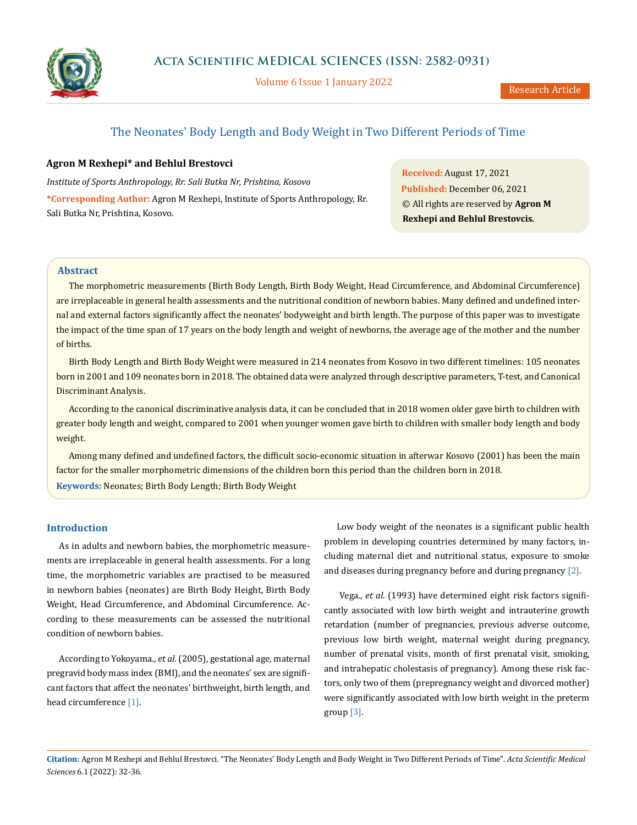

Volume 6 Issue 1 January 2022

# The Neonates' Body Length and Body Weight in Two Different Periods of Time

# **Agron M Rexhepi\* and Behlul Brestovci**

*Institute of Sports Anthropology, Rr. Sali Butka Nr, Prishtina, Kosovo* **\*Corresponding Author:** Agron M Rexhepi, Institute of Sports Anthropology, Rr. Sali Butka Nr, Prishtina, Kosovo.

**Received:** August 17, 2021 **Published:** December 06, 2021 © All rights are reserved by **Agron M Rexhepi and Behlul Brestovcis***.*

# **Abstract**

The morphometric measurements (Birth Body Length, Birth Body Weight, Head Circumference, and Abdominal Circumference) are irreplaceable in general health assessments and the nutritional condition of newborn babies. Many defined and undefined internal and external factors significantly affect the neonates' bodyweight and birth length. The purpose of this paper was to investigate the impact of the time span of 17 years on the body length and weight of newborns, the average age of the mother and the number of births.

Birth Body Length and Birth Body Weight were measured in 214 neonates from Kosovo in two different timelines: 105 neonates born in 2001 and 109 neonates born in 2018. The obtained data were analyzed through descriptive parameters, T-test, and Canonical Discriminant Analysis.

According to the canonical discriminative analysis data, it can be concluded that in 2018 women older gave birth to children with greater body length and weight, compared to 2001 when younger women gave birth to children with smaller body length and body weight.

Among many defined and undefined factors, the difficult socio-economic situation in afterwar Kosovo (2001) has been the main factor for the smaller morphometric dimensions of the children born this period than the children born in 2018. **Keywords:** Neonates; Birth Body Length; Birth Body Weight

# **Introduction**

As in adults and newborn babies, the morphometric measurements are irreplaceable in general health assessments. For a long time, the morphometric variables are practised to be measured in newborn babies (neonates) are Birth Body Height, Birth Body Weight, Head Circumference, and Abdominal Circumference. According to these measurements can be assessed the nutritional condition of newborn babies.

According to Yokoyama., *et al.* (2005), gestational age, maternal pregravid body mass index (BMI), and the neonates' sex are significant factors that affect the neonates' birthweight, birth length, and head circumference [1].

Low body weight of the neonates is a significant public health problem in developing countries determined by many factors, including maternal diet and nutritional status, exposure to smoke and diseases during pregnancy before and during pregnancy [2].

 Vega., *et al.* (1993) have determined eight risk factors significantly associated with low birth weight and intrauterine growth retardation (number of pregnancies, previous adverse outcome, previous low birth weight, maternal weight during pregnancy, number of prenatal visits, month of first prenatal visit, smoking, and intrahepatic cholestasis of pregnancy). Among these risk factors, only two of them (prepregnancy weight and divorced mother) were significantly associated with low birth weight in the preterm group [3].

**Citation:** Agron M Rexhepi and Behlul Brestovci*.* "The Neonates' Body Length and Body Weight in Two Different Periods of Time". *Acta Scientific Medical Sciences* 6.1 (2022): 32-36.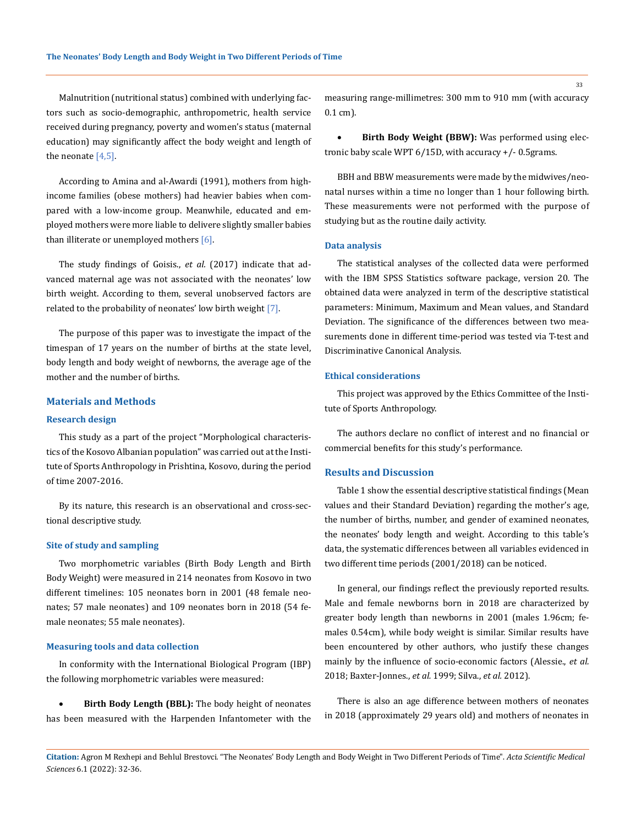Malnutrition (nutritional status) combined with underlying factors such as socio-demographic, anthropometric, health service received during pregnancy, poverty and women's status (maternal education) may significantly affect the body weight and length of the neonate  $[4,5]$ .

According to Amina and al-Awardi (1991), mothers from highincome families (obese mothers) had heavier babies when compared with a low-income group. Meanwhile, educated and employed mothers were more liable to delivere slightly smaller babies than illiterate or unemployed mothers [6].

The study findings of Goisis., *et al.* (2017) indicate that advanced maternal age was not associated with the neonates' low birth weight. According to them, several unobserved factors are related to the probability of neonates' low birth weight [7].

The purpose of this paper was to investigate the impact of the timespan of 17 years on the number of births at the state level, body length and body weight of newborns, the average age of the mother and the number of births.

# **Materials and Methods**

#### **Research design**

This study as a part of the project ["Morphological characteris](https://www.researchgate.net/project/Morphological-characteristics-of-the-Kosovo-Albanian-population)[tics of the Kosovo Albanian population"](https://www.researchgate.net/project/Morphological-characteristics-of-the-Kosovo-Albanian-population) was carried out at the Institute of Sports Anthropology in Prishtina, Kosovo, during the period of time 2007-2016.

By its nature, this research is an observational and cross-sectional descriptive study.

#### **Site of study and sampling**

Two morphometric variables (Birth Body Length and Birth Body Weight) were measured in 214 neonates from Kosovo in two different timelines: 105 neonates born in 2001 (48 female neonates; 57 male neonates) and 109 neonates born in 2018 (54 female neonates; 55 male neonates).

### **Measuring tools and data collection**

In conformity with the International Biological Program (IBP) the following morphometric variables were measured:

**Birth Body Length (BBL):** The body height of neonates has been measured with the Harpenden Infantometer with the measuring range-millimetres: 300 mm to 910 mm (with accuracy 0.1 cm).

Birth Body Weight (BBW): Was performed using electronic baby scale WPT 6/15D, with accuracy +/- 0.5grams.

BBH and BBW measurements were made by the midwives/neonatal nurses within a time no longer than 1 hour following birth. These measurements were not performed with the purpose of studying but as the routine daily activity.

#### **Data analysis**

The statistical analyses of the collected data were performed with the IBM SPSS Statistics software package, version 20. The obtained data were analyzed in term of the descriptive statistical parameters: Minimum, Maximum and Mean values, and Standard Deviation. The significance of the differences between two measurements done in different time-period was tested via T-test and Discriminative Canonical Analysis.

#### **Ethical considerations**

This project was approved by the Ethics Committee of the Institute of Sports Anthropology.

The authors declare no conflict of interest and no financial or commercial benefits for this study's performance.

#### **Results and Discussion**

Table 1 show the essential descriptive statistical findings (Mean values and their Standard Deviation) regarding the mother's age, the number of births, number, and gender of examined neonates, the neonates' body length and weight. According to this table's data, the systematic differences between all variables evidenced in two different time periods (2001/2018) can be noticed.

In general, our findings reflect the previously reported results. Male and female newborns born in 2018 are characterized by greater body length than newborns in 2001 (males 1.96cm; females 0.54cm), while body weight is similar. Similar results have been encountered by other authors, who justify these changes mainly by the influence of socio-economic factors (Alessie., *et al.* 2018; Baxter-Jonnes., *et al.* 1999; Silva., *et al.* 2012).

There is also an age difference between mothers of neonates in 2018 (approximately 29 years old) and mothers of neonates in

33

**Citation:** Agron M Rexhepi and Behlul Brestovci*.* "The Neonates' Body Length and Body Weight in Two Different Periods of Time". *Acta Scientific Medical Sciences* 6.1 (2022): 32-36.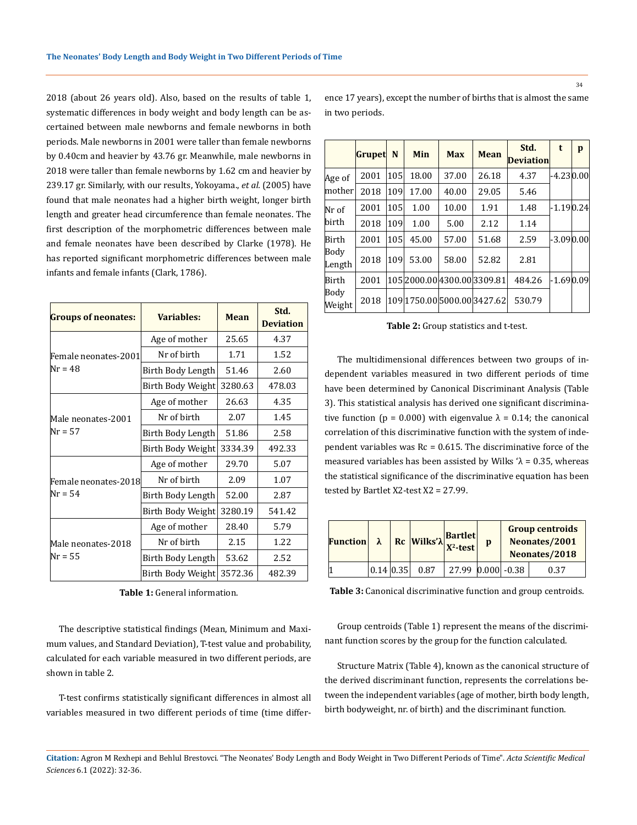2018 (about 26 years old). Also, based on the results of table 1, systematic differences in body weight and body length can be ascertained between male newborns and female newborns in both periods. Male newborns in 2001 were taller than female newborns by 0.40cm and heavier by 43.76 gr. Meanwhile, male newborns in 2018 were taller than female newborns by 1.62 cm and heavier by 239.17 gr. Similarly, with our results, Yokoyama., *et al.* (2005) have found that male neonates had a higher birth weight, longer birth length and greater head circumference than female neonates. The first description of the morphometric differences between male and female neonates have been described by Clarke (1978). He has reported significant morphometric differences between male infants and female infants (Clark, 1786).

| <b>Groups of neonates:</b> | Variables:        | <b>Mean</b> | Std.<br><b>Deviation</b> |  |
|----------------------------|-------------------|-------------|--------------------------|--|
|                            | Age of mother     | 25.65       | 4.37                     |  |
| Female neonates-2001       | Nr of birth       | 1.71        | 1.52                     |  |
| Nr = 48                    | Birth Body Length | 51.46       | 2.60                     |  |
|                            | Birth Body Weight | 3280.63     | 478.03                   |  |
|                            | Age of mother     | 26.63       | 4.35                     |  |
| Male neonates-2001         | Nr of birth       | 2.07        | 1.45                     |  |
| $Nr = 57$                  | Birth Body Length | 51.86       | 2.58                     |  |
|                            | Birth Body Weight | 3334.39     | 492.33                   |  |
|                            | Age of mother     | 29.70       | 5.07                     |  |
| Female neonates-2018       | Nr of birth       | 2.09        | 1.07                     |  |
| Nr = 54                    | Birth Body Length | 52.00       | 2.87                     |  |
|                            | Birth Body Weight | 3280.19     | 541.42                   |  |
|                            | Age of mother     | 28.40       | 5.79                     |  |
| Male neonates-2018         | Nr of birth       | 2.15        | 1.22                     |  |
| Nr = 55                    | Birth Body Length | 53.62       | 2.52                     |  |
|                            | Birth Body Weight | 3572.36     | 482.39                   |  |

| <b>Table 1:</b> General information. |  |
|--------------------------------------|--|
|--------------------------------------|--|

The descriptive statistical findings (Mean, Minimum and Maximum values, and Standard Deviation), T-test value and probability, calculated for each variable measured in two different periods, are shown in table 2.

T-test confirms statistically significant differences in almost all variables measured in two different periods of time (time difference 17 years), except the number of births that is almost the same in two periods.

|                | <b>Grupet</b> | N   | <b>Min</b> | <b>Max</b>               | <b>Mean</b>                 | Std.<br><b>Deviation</b> | t             | p |
|----------------|---------------|-----|------------|--------------------------|-----------------------------|--------------------------|---------------|---|
| Age of         | 2001          | 105 | 18.00      | 37.00                    | 26.18                       | 4.37                     | $-4.23 0.00 $ |   |
| mother         | 2018          | 109 | 17.00      | 40.00                    | 29.05                       | 5.46                     |               |   |
| Nr of          | 2001          | 105 | 1.00       | 10.00                    | 1.91                        | 1.48                     | $-1.190.24$   |   |
| birth          | 2018          | 109 | 1.00       | 5.00                     | 2.12                        | 1.14                     |               |   |
| Birth          | 2001          | 105 | 45.00      | 57.00                    | 51.68                       | 2.59                     | $-3.09 0.00$  |   |
| Body<br>Length | 2018          | 109 | 53.00      | 58.00                    | 52.82                       | 2.81                     |               |   |
| Birth          | 2001          |     |            | 1052000.004300.003309.81 |                             | 484.26                   | $-1.690.09$   |   |
| Body<br>Weight | 2018          |     |            |                          | 109 1750.00 5000.00 3427.62 | 530.79                   |               |   |

**Table 2:** Group statistics and t-test.

The multidimensional differences between two groups of independent variables measured in two different periods of time have been determined by Canonical Discriminant Analysis (Table 3). This statistical analysis has derived one significant discriminative function ( $p = 0.000$ ) with eigenvalue  $\lambda = 0.14$ ; the canonical correlation of this discriminative function with the system of independent variables was  $Rc = 0.615$ . The discriminative force of the measured variables has been assisted by Wilks ' $\lambda$  = 0.35, whereas the statistical significance of the discriminative equation has been tested by Bartlet X2-test X2 = 27.99.

| <b>Function</b> | $\lambda$ | $\left \frac{\text{Rc}}{\text{Wilks'}}\right _{X^2\text{-test}}$ | <b>Bartlet</b>          | p | <b>Group centroids</b><br>Neonates/2001<br>Neonates/2018 |  |
|-----------------|-----------|------------------------------------------------------------------|-------------------------|---|----------------------------------------------------------|--|
|                 | 0.14 0.35 | 0.87                                                             | $27.99$ $ 0.000 $ -0.38 |   | 0.37                                                     |  |

**Table 3:** Canonical discriminative function and group centroids.

Group centroids (Table 1) represent the means of the discriminant function scores by the group for the function calculated.

Structure Matrix (Table 4), known as the canonical structure of the derived discriminant function, represents the correlations between the independent variables (age of mother, birth body length, birth bodyweight, nr. of birth) and the discriminant function.

34

**Citation:** Agron M Rexhepi and Behlul Brestovci*.* "The Neonates' Body Length and Body Weight in Two Different Periods of Time". *Acta Scientific Medical Sciences* 6.1 (2022): 32-36.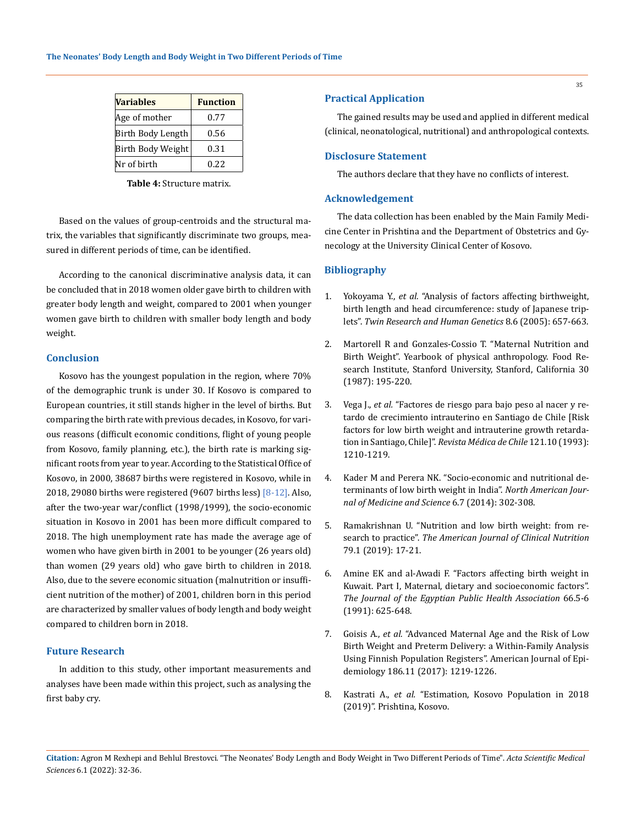| <b>Variables</b>  | <b>Function</b> |
|-------------------|-----------------|
| Age of mother     | 0.77            |
| Birth Body Length | 0.56            |
| Birth Body Weight | 0.31            |
| Nr of birth       | 0.22            |

**Table 4:** Structure matrix.

Based on the values of group-centroids and the structural matrix, the variables that significantly discriminate two groups, measured in different periods of time, can be identified.

According to the canonical discriminative analysis data, it can be concluded that in 2018 women older gave birth to children with greater body length and weight, compared to 2001 when younger women gave birth to children with smaller body length and body weight.

### **Conclusion**

Kosovo has the youngest population in the region, where 70% of the demographic trunk is under 30. If Kosovo is compared to European countries, it still stands higher in the level of births. But comparing the birth rate with previous decades, in Kosovo, for various reasons (difficult economic conditions, flight of young people from Kosovo, family planning, etc.), the birth rate is marking significant roots from year to year. According to the Statistical Office of Kosovo, in 2000, 38687 births were registered in Kosovo, while in 2018, 29080 births were registered (9607 births less) [8-12]. Also, after the two-year war/conflict (1998/1999), the socio-economic situation in Kosovo in 2001 has been more difficult compared to 2018. The high unemployment rate has made the average age of women who have given birth in 2001 to be younger (26 years old) than women (29 years old) who gave birth to children in 2018. Also, due to the severe economic situation (malnutrition or insufficient nutrition of the mother) of 2001, children born in this period are characterized by smaller values of body length and body weight compared to children born in 2018.

## **Future Research**

In addition to this study, other important measurements and analyses have been made within this project, such as analysing the first baby cry.

### **Practical Application**

The gained results may be used and applied in different medical (clinical, neonatological, nutritional) and anthropological contexts.

### **Disclosure Statement**

The authors declare that they have no conflicts of interest.

# **Acknowledgement**

The data collection has been enabled by the Main Family Medicine Center in Prishtina and the Department of Obstetrics and Gynecology at the University Clinical Center of Kosovo.

## **Bibliography**

- 1. Yokoyama Y., *et al.* ["Analysis of factors affecting birthweight,](https://pubmed.ncbi.nlm.nih.gov/16354507/)  [birth length and head circumference: study of Japanese trip](https://pubmed.ncbi.nlm.nih.gov/16354507/)lets". *[Twin Research and Human Genetics](https://pubmed.ncbi.nlm.nih.gov/16354507/)* 8.6 (2005): 657-663.
- 2. [Martorell R and Gonzales-Cossio T. "Maternal Nutrition and](https://www.researchgate.net/publication/11109764_Maternal_nutrition_and_birth_weight)  [Birth Weight". Yearbook of physical anthropology. Food Re](https://www.researchgate.net/publication/11109764_Maternal_nutrition_and_birth_weight)[search Institute, Stanford University, Stanford, California 30](https://www.researchgate.net/publication/11109764_Maternal_nutrition_and_birth_weight)  [\(1987\): 195-220.](https://www.researchgate.net/publication/11109764_Maternal_nutrition_and_birth_weight)
- 3. Vega J., *et al.* ["Factores de riesgo para bajo peso al nacer y re](https://repositorio.uchile.cl/handle/2250/161171)[tardo de crecimiento intrauterino en Santiago de Chile \[Risk](https://repositorio.uchile.cl/handle/2250/161171)  [factors for low birth weight and intrauterine growth retarda](https://repositorio.uchile.cl/handle/2250/161171)tion in Santiago, Chile]". *[Revista Médica de Chile](https://repositorio.uchile.cl/handle/2250/161171)* 121.10 (1993): [1210-1219.](https://repositorio.uchile.cl/handle/2250/161171)
- 4. [Kader M and Perera NK. "Socio-economic and nutritional de](https://pubmed.ncbi.nlm.nih.gov/25077077/)[terminants of low birth weight in India".](https://pubmed.ncbi.nlm.nih.gov/25077077/) *North American Jour[nal of Medicine and Science](https://pubmed.ncbi.nlm.nih.gov/25077077/)* 6.7 (2014): 302-308.
- 5. [Ramakrishnan U. "Nutrition and low birth weight: from re](https://pubmed.ncbi.nlm.nih.gov/14684392/)search to practice". *[The American Journal](https://pubmed.ncbi.nlm.nih.gov/14684392/) of Clinical Nutrition*  [79.1 \(2019\): 17-21.](https://pubmed.ncbi.nlm.nih.gov/14684392/)
- 6. [Amine EK and al-Awadi F. "Factors affecting birth weight in](https://pubmed.ncbi.nlm.nih.gov/1797969/)  [Kuwait. Part I, Maternal, dietary and socioeconomic factors".](https://pubmed.ncbi.nlm.nih.gov/1797969/)  *[The Journal of the Egyptian Public Health Association](https://pubmed.ncbi.nlm.nih.gov/1797969/)* 66.5-6 [\(1991\): 625-648.](https://pubmed.ncbi.nlm.nih.gov/1797969/)
- 7. Goisis A., *et al.* ["Advanced Maternal Age and the Risk of Low](https://pubmed.ncbi.nlm.nih.gov/29206985/)  [Birth Weight and Preterm Delivery: a Within-Family Analysis](https://pubmed.ncbi.nlm.nih.gov/29206985/)  [Using Finnish Population Registers".](https://pubmed.ncbi.nlm.nih.gov/29206985/) American Journal of Epi[demiology 186.11 \(2017\): 1219-1226.](https://pubmed.ncbi.nlm.nih.gov/29206985/)
- 8. Kastrati A., *et al.* "Estimation, Kosovo Population in 2018 (2019)". Prishtina, Kosovo.

**Citation:** Agron M Rexhepi and Behlul Brestovci*.* "The Neonates' Body Length and Body Weight in Two Different Periods of Time". *Acta Scientific Medical Sciences* 6.1 (2022): 32-36.